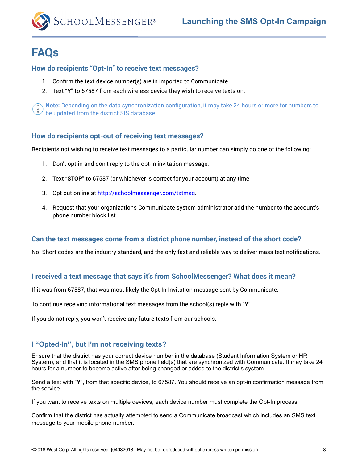

**SCHOOLMESSENGER®** 

# **FAQs**

#### **How do recipients "Opt-In" to receive text messages?**

- 1. Confirm the text device number(s) are in imported to Communicate.
- 2. Text **"Y"** to 67587 from each wireless device they wish to receive texts on.

**Note:** Depending on the data synchronization configuration, it may take 24 hours or more for numbers to be updated from the district SIS database.

# **How do recipients opt-out of receiving text messages?**

Recipients not wishing to receive text messages to a particular number can simply do one of the following:

- 1. Don't opt-in and don't reply to the opt-in invitation message.
- 2. Text "**STOP**" to 67587 (or whichever is correct for your account) at any time.
- 3. Opt out online at<http://schoolmessenger.com/txtmsg>.
- 4. Request that your organizations Communicate system administrator add the number to the account's phone number block list.

## **Can the text messages come from a district phone number, instead of the short code?**

No. Short codes are the industry standard, and the only fast and reliable way to deliver mass text notifications.

## **I received a text message that says it's from SchoolMessenger? What does it mean?**

If it was from 67587, that was most likely the Opt-In Invitation message sent by Communicate.

To continue receiving informational text messages from the school(s) reply with "**Y**".

If you do not reply, you won't receive any future texts from our schools.

## **I "Opted-In", but I'm not receiving texts?**

Ensure that the district has your correct device number in the database (Student Information System or HR System), and that it is located in the SMS phone field(s) that are synchronized with Communicate. It may take 24 hours for a number to become active after being changed or added to the district's system.

Send a text with "**Y**", from that specific device, to 67587. You should receive an opt-in confirmation message from the service.

If you want to receive texts on multiple devices, each device number must complete the Opt-In process.

Confirm that the district has actually attempted to send a Communicate broadcast which includes an SMS text message to your mobile phone number.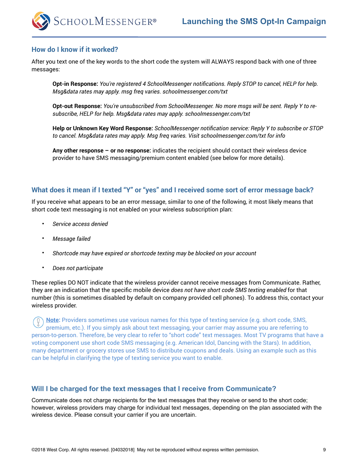**SCHOOLMESSENGER®** 

#### **How do I know if it worked?**

After you text one of the key words to the short code the system will ALWAYS respond back with one of three messages:

**Opt-in Response:** *You're registered 4 SchoolMessenger notifications. Reply STOP to cancel, HELP for help. Msg&data rates may apply. msg freq varies. schoolmessenger.com/txt* 

**Opt-out Response:** *You're unsubscribed from SchoolMessenger. No more msgs will be sent. Reply Y to resubscribe, HELP for help. Msg&data rates may apply. schoolmessenger.com/txt* 

**Help or Unknown Key Word Response:** *SchoolMessenger notification service: Reply Y to subscribe or STOP to cancel. Msg&data rates may apply. Msg freq varies. Visit schoolmessenger.com/txt for info* 

**Any other response – or no response:** indicates the recipient should contact their wireless device provider to have SMS messaging/premium content enabled (see below for more details).

## **What does it mean if I texted "Y" or "yes" and I received some sort of error message back?**

If you receive what appears to be an error message, similar to one of the following, it most likely means that short code text messaging is not enabled on your wireless subscription plan:

- *Service access denied*
- *Message failed*
- *Shortcode may have expired or shortcode texting may be blocked on your account*
- *Does not participate*

These replies DO NOT indicate that the wireless provider cannot receive messages from Communicate. Rather, they are an indication that the specific mobile device *does not have short code SMS texting enabled* for that number (this is sometimes disabled by default on company provided cell phones). To address this, contact your wireless provider.

**Note:** Providers sometimes use various names for this type of texting service (e.g. short code, SMS, premium, etc.). If you simply ask about text messaging, your carrier may assume you are referring to person-to-person. Therefore, be very clear to refer to "short code" text messages. Most TV programs that have a voting component use short code SMS messaging (e.g. American Idol, Dancing with the Stars). In addition, many department or grocery stores use SMS to distribute coupons and deals. Using an example such as this can be helpful in clarifying the type of texting service you want to enable.

#### **Will I be charged for the text messages that I receive from Communicate?**

Communicate does not charge recipients for the text messages that they receive or send to the short code; however, wireless providers may charge for individual text messages, depending on the plan associated with the wireless device. Please consult your carrier if you are uncertain.